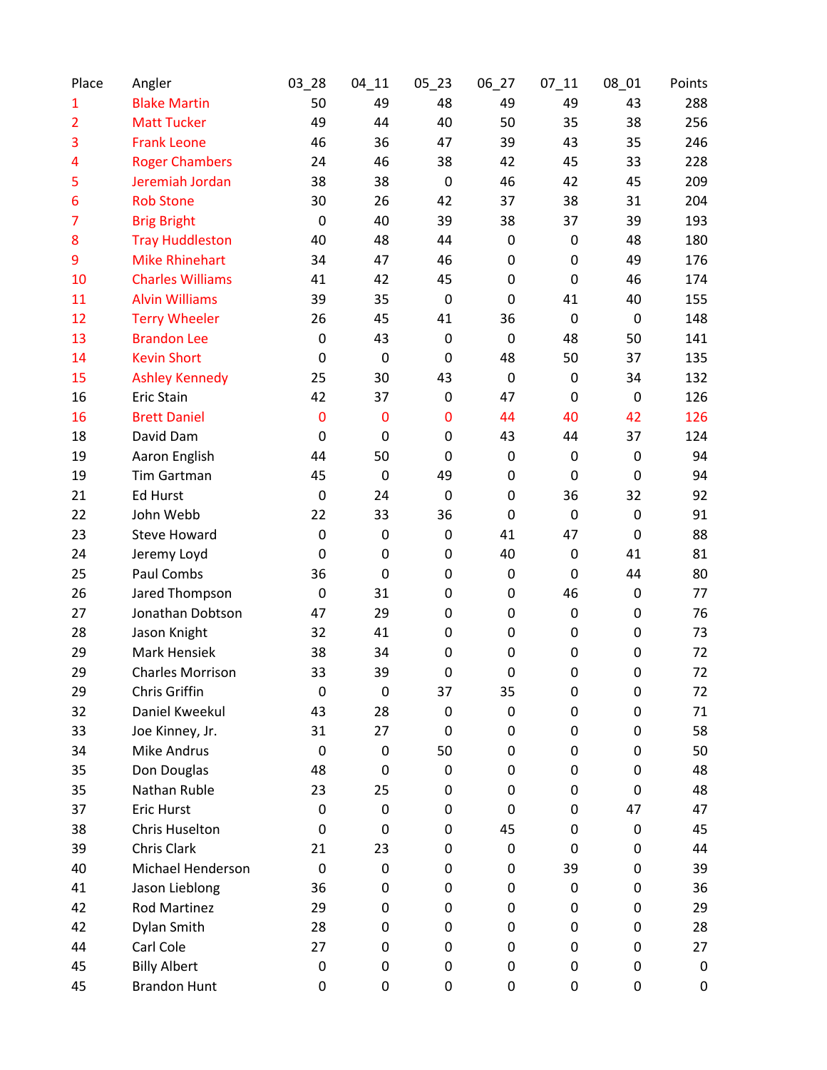| Place          | Angler                  | $03 - 28$   | $04 - 11$   | $05 - 23$   | 06_27       | $07 - 11$   | $08_01$          | Points      |
|----------------|-------------------------|-------------|-------------|-------------|-------------|-------------|------------------|-------------|
| $\mathbf{1}$   | <b>Blake Martin</b>     | 50          | 49          | 48          | 49          | 49          | 43               | 288         |
| $\overline{2}$ | <b>Matt Tucker</b>      | 49          | 44          | 40          | 50          | 35          | 38               | 256         |
| 3              | <b>Frank Leone</b>      | 46          | 36          | 47          | 39          | 43          | 35               | 246         |
| 4              | <b>Roger Chambers</b>   | 24          | 46          | 38          | 42          | 45          | 33               | 228         |
| 5              | Jeremiah Jordan         | 38          | 38          | $\mathbf 0$ | 46          | 42          | 45               | 209         |
| 6              | <b>Rob Stone</b>        | 30          | 26          | 42          | 37          | 38          | 31               | 204         |
| 7              | <b>Brig Bright</b>      | $\mathbf 0$ | 40          | 39          | 38          | 37          | 39               | 193         |
| 8              | <b>Tray Huddleston</b>  | 40          | 48          | 44          | $\pmb{0}$   | $\mathbf 0$ | 48               | 180         |
| 9              | <b>Mike Rhinehart</b>   | 34          | 47          | 46          | $\mathbf 0$ | 0           | 49               | 176         |
| 10             | <b>Charles Williams</b> | 41          | 42          | 45          | $\mathbf 0$ | 0           | 46               | 174         |
| 11             | <b>Alvin Williams</b>   | 39          | 35          | $\mathbf 0$ | $\mathbf 0$ | 41          | 40               | 155         |
| 12             | <b>Terry Wheeler</b>    | 26          | 45          | 41          | 36          | 0           | $\mathbf 0$      | 148         |
| 13             | <b>Brandon Lee</b>      | $\mathbf 0$ | 43          | $\mathbf 0$ | $\mathbf 0$ | 48          | 50               | 141         |
| 14             | <b>Kevin Short</b>      | $\mathbf 0$ | $\mathbf 0$ | $\mathbf 0$ | 48          | 50          | 37               | 135         |
| 15             | <b>Ashley Kennedy</b>   | 25          | 30          | 43          | $\mathbf 0$ | 0           | 34               | 132         |
| 16             | Eric Stain              | 42          | 37          | $\pmb{0}$   | 47          | 0           | $\mathbf 0$      | 126         |
| 16             | <b>Brett Daniel</b>     | $\mathbf 0$ | $\bf{0}$    | $\bf{0}$    | 44          | 40          | 42               | 126         |
| 18             | David Dam               | $\mathbf 0$ | $\mathbf 0$ | 0           | 43          | 44          | 37               | 124         |
| 19             | Aaron English           | 44          | 50          | $\mathbf 0$ | $\mathbf 0$ | 0           | $\mathbf 0$      | 94          |
| 19             | Tim Gartman             | 45          | $\mathbf 0$ | 49          | $\mathbf 0$ | 0           | $\mathbf 0$      | 94          |
| 21             | <b>Ed Hurst</b>         | $\mathbf 0$ | 24          | $\mathbf 0$ | $\mathbf 0$ | 36          | 32               | 92          |
| 22             | John Webb               | 22          | 33          | 36          | $\mathbf 0$ | $\mathbf 0$ | $\mathbf 0$      | 91          |
| 23             | <b>Steve Howard</b>     | $\mathbf 0$ | $\mathbf 0$ | $\pmb{0}$   | 41          | 47          | $\mathbf 0$      | 88          |
| 24             | Jeremy Loyd             | $\mathbf 0$ | 0           | 0           | 40          | 0           | 41               | 81          |
| 25             | Paul Combs              | 36          | 0           | 0           | $\mathbf 0$ | 0           | 44               | 80          |
| 26             | Jared Thompson          | $\mathbf 0$ | 31          | $\pmb{0}$   | $\mathbf 0$ | 46          | $\boldsymbol{0}$ | 77          |
| 27             | Jonathan Dobtson        | 47          | 29          | 0           | $\mathbf 0$ | 0           | 0                | 76          |
| 28             | Jason Knight            | 32          | 41          | $\pmb{0}$   | $\mathbf 0$ | 0           | 0                | 73          |
| 29             | <b>Mark Hensiek</b>     | 38          | 34          | 0           | $\mathbf 0$ | 0           | 0                | 72          |
| 29             | <b>Charles Morrison</b> | 33          | 39          | 0           | $\mathbf 0$ | 0           | 0                | 72          |
| 29             | Chris Griffin           | 0           | $\mathbf 0$ | 37          | 35          | 0           | 0                | 72          |
| 32             | Daniel Kweekul          | 43          | 28          | $\mathbf 0$ | 0           | 0           | 0                | 71          |
| 33             | Joe Kinney, Jr.         | 31          | 27          | 0           | $\mathbf 0$ | 0           | 0                | 58          |
| 34             | <b>Mike Andrus</b>      | 0           | $\mathbf 0$ | 50          | 0           | 0           | 0                | 50          |
| 35             | Don Douglas             | 48          | 0           | $\mathbf 0$ | 0           | 0           | 0                | 48          |
| 35             | Nathan Ruble            | 23          | 25          | 0           | 0           | 0           | 0                | 48          |
| 37             | <b>Eric Hurst</b>       | $\Omega$    | $\mathbf 0$ | 0           | $\mathbf 0$ | 0           | 47               | 47          |
| 38             | Chris Huselton          | 0           | 0           | 0           | 45          | 0           | $\mathbf 0$      | 45          |
| 39             | Chris Clark             | 21          | 23          | 0           | 0           | 0           | 0                | 44          |
| 40             | Michael Henderson       | $\mathbf 0$ | $\mathbf 0$ | 0           | 0           | 39          | 0                | 39          |
| 41             | Jason Lieblong          | 36          | 0           | 0           | 0           | 0           | 0                | 36          |
| 42             | Rod Martinez            | 29          | 0           | 0           | 0           | 0           | 0                | 29          |
| 42             | Dylan Smith             | 28          | 0           | 0           | 0           | 0           | 0                | 28          |
| 44             | Carl Cole               | 27          | 0           | 0           | 0           | 0           | 0                | 27          |
| 45             | <b>Billy Albert</b>     | 0           | 0           | 0           | $\pmb{0}$   | 0           | 0                | $\mathbf 0$ |
| 45             | <b>Brandon Hunt</b>     | 0           | 0           | 0           | $\pmb{0}$   | 0           | 0                | 0           |